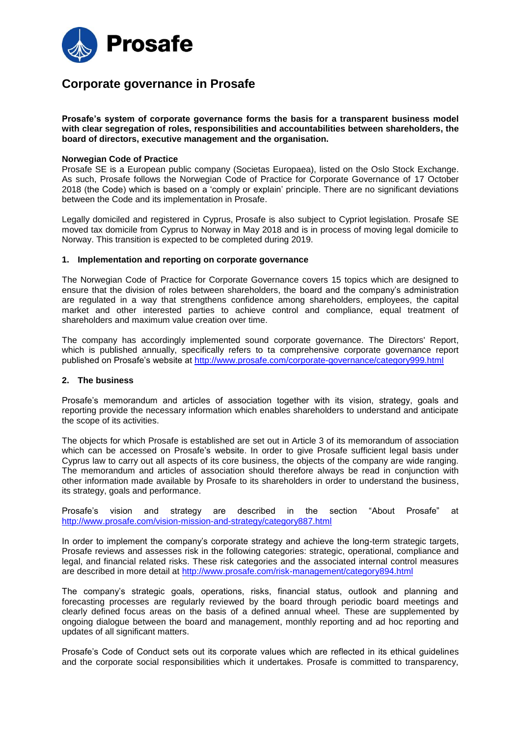

# **Corporate governance in Prosafe**

**Prosafe's system of corporate governance forms the basis for a transparent business model with clear segregation of roles, responsibilities and accountabilities between shareholders, the board of directors, executive management and the organisation.**

#### **Norwegian Code of Practice**

Prosafe SE is a European public company (Societas Europaea), listed on the Oslo Stock Exchange. As such, Prosafe follows the Norwegian Code of Practice for Corporate Governance of 17 October 2018 (the Code) which is based on a 'comply or explain' principle. There are no significant deviations between the Code and its implementation in Prosafe.

Legally domiciled and registered in Cyprus, Prosafe is also subject to Cypriot legislation. Prosafe SE moved tax domicile from Cyprus to Norway in May 2018 and is in process of moving legal domicile to Norway. This transition is expected to be completed during 2019.

#### **1. Implementation and reporting on corporate governance**

The Norwegian Code of Practice for Corporate Governance covers 15 topics which are designed to ensure that the division of roles between shareholders, the board and the company's administration are regulated in a way that strengthens confidence among shareholders, employees, the capital market and other interested parties to achieve control and compliance, equal treatment of shareholders and maximum value creation over time.

The company has accordingly implemented sound corporate governance. The Directors' Report, which is published annually, specifically refers to ta comprehensive corporate governance report published on Prosafe's website at<http://www.prosafe.com/corporate-governance/category999.html>

#### **2. The business**

Prosafe's memorandum and articles of association together with its vision, strategy, goals and reporting provide the necessary information which enables shareholders to understand and anticipate the scope of its activities.

The objects for which Prosafe is established are set out in Article 3 of its memorandum of association which can be accessed on Prosafe's website. In order to give Prosafe sufficient legal basis under Cyprus law to carry out all aspects of its core business, the objects of the company are wide ranging. The memorandum and articles of association should therefore always be read in conjunction with other information made available by Prosafe to its shareholders in order to understand the business, its strategy, goals and performance.

Prosafe's vision and strategy are described in the section "About Prosafe" at <http://www.prosafe.com/vision-mission-and-strategy/category887.html>

In order to implement the company's corporate strategy and achieve the long-term strategic targets, Prosafe reviews and assesses risk in the following categories: strategic, operational, compliance and legal, and financial related risks. These risk categories and the associated internal control measures are described in more detail at<http://www.prosafe.com/risk-management/category894.html>

The company's strategic goals, operations, risks, financial status, outlook and planning and forecasting processes are regularly reviewed by the board through periodic board meetings and clearly defined focus areas on the basis of a defined annual wheel. These are supplemented by ongoing dialogue between the board and management, monthly reporting and ad hoc reporting and updates of all significant matters.

Prosafe's Code of Conduct sets out its corporate values which are reflected in its ethical guidelines and the corporate social responsibilities which it undertakes. Prosafe is committed to transparency,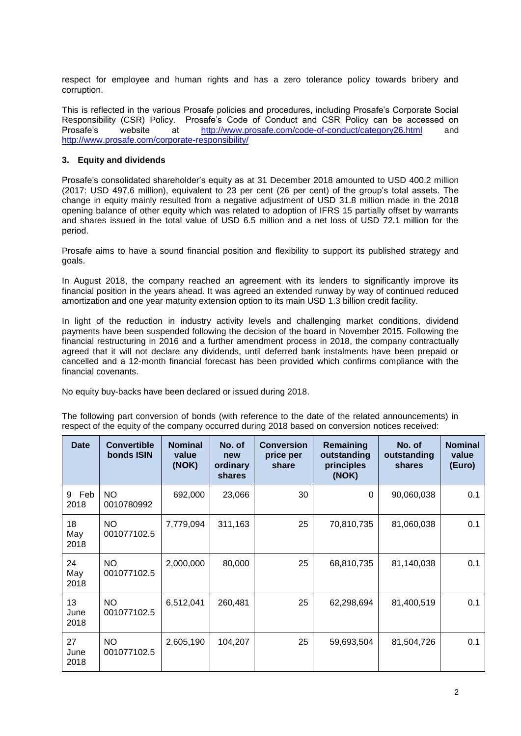respect for employee and human rights and has a zero tolerance policy towards bribery and corruption.

This is reflected in the various Prosafe policies and procedures, including Prosafe's Corporate Social Responsibility (CSR) Policy. Prosafe's Code of Conduct and CSR Policy can be accessed on Prosafe's website at <http://www.prosafe.com/code-of-conduct/category26.html> and <http://www.prosafe.com/corporate-responsibility/>

## **3. Equity and dividends**

Prosafe's consolidated shareholder's equity as at 31 December 2018 amounted to USD 400.2 million (2017: USD 497.6 million), equivalent to 23 per cent (26 per cent) of the group's total assets. The change in equity mainly resulted from a negative adjustment of USD 31.8 million made in the 2018 opening balance of other equity which was related to adoption of IFRS 15 partially offset by warrants and shares issued in the total value of USD 6.5 million and a net loss of USD 72.1 million for the period.

Prosafe aims to have a sound financial position and flexibility to support its published strategy and goals.

In August 2018, the company reached an agreement with its lenders to significantly improve its financial position in the years ahead. It was agreed an extended runway by way of continued reduced amortization and one year maturity extension option to its main USD 1.3 billion credit facility.

In light of the reduction in industry activity levels and challenging market conditions, dividend payments have been suspended following the decision of the board in November 2015. Following the financial restructuring in 2016 and a further amendment process in 2018, the company contractually agreed that it will not declare any dividends, until deferred bank instalments have been prepaid or cancelled and a 12-month financial forecast has been provided which confirms compliance with the financial covenants.

No equity buy-backs have been declared or issued during 2018.

The following part conversion of bonds (with reference to the date of the related announcements) in respect of the equity of the company occurred during 2018 based on conversion notices received:

| <b>Date</b>        | <b>Convertible</b><br>bonds ISIN | <b>Nominal</b><br>value<br>(NOK) | No. of<br>new<br>ordinary<br>shares | <b>Conversion</b><br>price per<br>share | Remaining<br>outstanding<br>principles<br>(NOK) | No. of<br>outstanding<br><b>shares</b> | <b>Nominal</b><br>value<br>(Euro) |
|--------------------|----------------------------------|----------------------------------|-------------------------------------|-----------------------------------------|-------------------------------------------------|----------------------------------------|-----------------------------------|
| 9<br>Feb<br>2018   | <b>NO</b><br>0010780992          | 692,000                          | 23,066                              | 30                                      | 0                                               | 90,060,038                             | 0.1                               |
| 18<br>May<br>2018  | NO.<br>001077102.5               | 7,779,094                        | 311,163                             | 25                                      | 70,810,735                                      | 81,060,038                             | 0.1                               |
| 24<br>May<br>2018  | <b>NO</b><br>001077102.5         | 2,000,000                        | 80,000                              | 25                                      | 68,810,735                                      | 81,140,038                             | 0.1                               |
| 13<br>June<br>2018 | <b>NO</b><br>001077102.5         | 6,512,041                        | 260,481                             | 25                                      | 62,298,694                                      | 81,400,519                             | 0.1                               |
| 27<br>June<br>2018 | NO.<br>001077102.5               | 2,605,190                        | 104,207                             | 25                                      | 59,693,504                                      | 81,504,726                             | 0.1                               |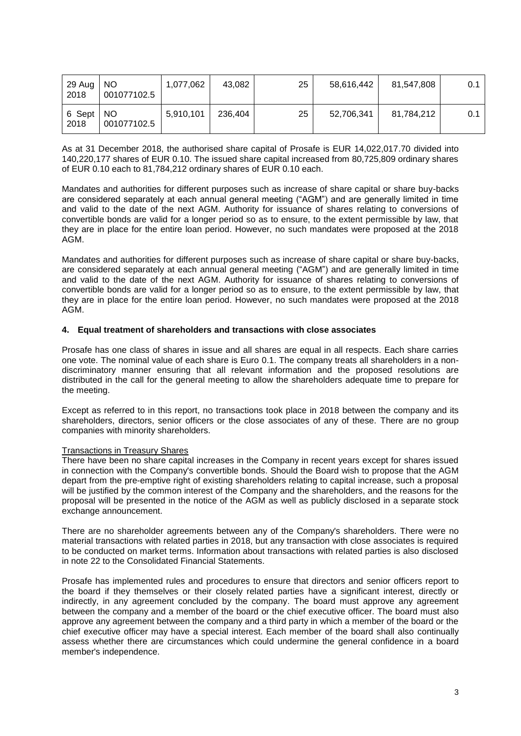| 29 Aug<br>2018 | NO.<br>001077102.5 | 1,077,062 | 43.082  | 25 | 58,616,442 | 81,547,808 | 0.1 |
|----------------|--------------------|-----------|---------|----|------------|------------|-----|
| 6 Sept<br>2018 | NO.<br>001077102.5 | 5,910,101 | 236,404 | 25 | 52,706,341 | 81,784,212 | 0.1 |

As at 31 December 2018, the authorised share capital of Prosafe is EUR 14,022,017.70 divided into 140,220,177 shares of EUR 0.10. The issued share capital increased from 80,725,809 ordinary shares of EUR 0.10 each to 81,784,212 ordinary shares of EUR 0.10 each.

Mandates and authorities for different purposes such as increase of share capital or share buy-backs are considered separately at each annual general meeting ("AGM") and are generally limited in time and valid to the date of the next AGM. Authority for issuance of shares relating to conversions of convertible bonds are valid for a longer period so as to ensure, to the extent permissible by law, that they are in place for the entire loan period. However, no such mandates were proposed at the 2018 AGM.

Mandates and authorities for different purposes such as increase of share capital or share buy-backs, are considered separately at each annual general meeting ("AGM") and are generally limited in time and valid to the date of the next AGM. Authority for issuance of shares relating to conversions of convertible bonds are valid for a longer period so as to ensure, to the extent permissible by law, that they are in place for the entire loan period. However, no such mandates were proposed at the 2018 AGM.

## **4. Equal treatment of shareholders and transactions with close associates**

Prosafe has one class of shares in issue and all shares are equal in all respects. Each share carries one vote. The nominal value of each share is Euro 0.1. The company treats all shareholders in a nondiscriminatory manner ensuring that all relevant information and the proposed resolutions are distributed in the call for the general meeting to allow the shareholders adequate time to prepare for the meeting.

Except as referred to in this report, no transactions took place in 2018 between the company and its shareholders, directors, senior officers or the close associates of any of these. There are no group companies with minority shareholders.

## Transactions in Treasury Shares

There have been no share capital increases in the Company in recent years except for shares issued in connection with the Company's convertible bonds. Should the Board wish to propose that the AGM depart from the pre-emptive right of existing shareholders relating to capital increase, such a proposal will be justified by the common interest of the Company and the shareholders, and the reasons for the proposal will be presented in the notice of the AGM as well as publicly disclosed in a separate stock exchange announcement.

There are no shareholder agreements between any of the Company's shareholders. There were no material transactions with related parties in 2018, but any transaction with close associates is required to be conducted on market terms. Information about transactions with related parties is also disclosed in note 22 to the Consolidated Financial Statements.

Prosafe has implemented rules and procedures to ensure that directors and senior officers report to the board if they themselves or their closely related parties have a significant interest, directly or indirectly, in any agreement concluded by the company. The board must approve any agreement between the company and a member of the board or the chief executive officer. The board must also approve any agreement between the company and a third party in which a member of the board or the chief executive officer may have a special interest. Each member of the board shall also continually assess whether there are circumstances which could undermine the general confidence in a board member's independence.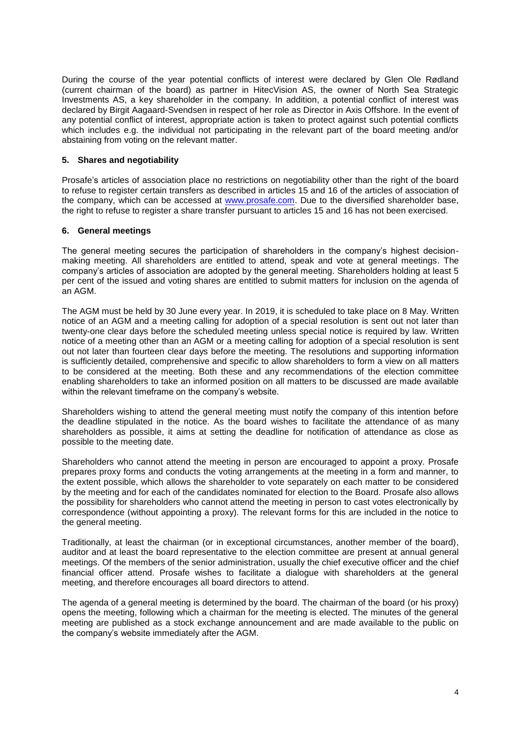During the course of the year potential conflicts of interest were declared by Glen Ole Rødland (current chairman of the board) as partner in HitecVision AS, the owner of North Sea Strategic Investments AS, a key shareholder in the company. In addition, a potential conflict of interest was declared by Birgit Aagaard-Svendsen in respect of her role as Director in Axis Offshore. In the event of any potential conflict of interest, appropriate action is taken to protect against such potential conflicts which includes e.g. the individual not participating in the relevant part of the board meeting and/or abstaining from voting on the relevant matter.

## **5. Shares and negotiability**

Prosafe's articles of association place no restrictions on negotiability other than the right of the board to refuse to register certain transfers as described in articles 15 and 16 of the articles of association of the company, which can be accessed at [www.prosafe.com.](http://www.prosafe.com/articles-and-memorandum-of-association/category890.html) Due to the diversified shareholder base, the right to refuse to register a share transfer pursuant to articles 15 and 16 has not been exercised.

## **6. General meetings**

The general meeting secures the participation of shareholders in the company's highest decisionmaking meeting. All shareholders are entitled to attend, speak and vote at general meetings. The company's articles of association are adopted by the general meeting. Shareholders holding at least 5 per cent of the issued and voting shares are entitled to submit matters for inclusion on the agenda of an AGM.

The AGM must be held by 30 June every year. In 2019, it is scheduled to take place on 8 May. Written notice of an AGM and a meeting calling for adoption of a special resolution is sent out not later than twenty-one clear days before the scheduled meeting unless special notice is required by law. Written notice of a meeting other than an AGM or a meeting calling for adoption of a special resolution is sent out not later than fourteen clear days before the meeting. The resolutions and supporting information is sufficiently detailed, comprehensive and specific to allow shareholders to form a view on all matters to be considered at the meeting. Both these and any recommendations of the election committee enabling shareholders to take an informed position on all matters to be discussed are made available within the relevant timeframe on the company's website.

Shareholders wishing to attend the general meeting must notify the company of this intention before the deadline stipulated in the notice. As the board wishes to facilitate the attendance of as many shareholders as possible, it aims at setting the deadline for notification of attendance as close as possible to the meeting date.

Shareholders who cannot attend the meeting in person are encouraged to appoint a proxy. Prosafe prepares proxy forms and conducts the voting arrangements at the meeting in a form and manner, to the extent possible, which allows the shareholder to vote separately on each matter to be considered by the meeting and for each of the candidates nominated for election to the Board. Prosafe also allows the possibility for shareholders who cannot attend the meeting in person to cast votes electronically by correspondence (without appointing a proxy). The relevant forms for this are included in the notice to the general meeting.

Traditionally, at least the chairman (or in exceptional circumstances, another member of the board), auditor and at least the board representative to the election committee are present at annual general meetings. Of the members of the senior administration, usually the chief executive officer and the chief financial officer attend. Prosafe wishes to facilitate a dialogue with shareholders at the general meeting, and therefore encourages all board directors to attend.

The agenda of a general meeting is determined by the board. The chairman of the board (or his proxy) opens the meeting, following which a chairman for the meeting is elected. The minutes of the general meeting are published as a stock exchange announcement and are made available to the public on the company's website immediately after the AGM.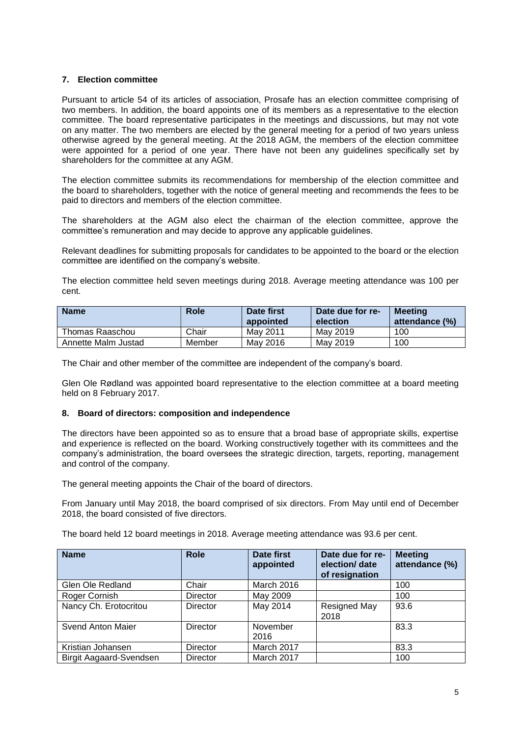## **7. Election committee**

Pursuant to article 54 of its articles of association, Prosafe has an election committee comprising of two members. In addition, the board appoints one of its members as a representative to the election committee. The board representative participates in the meetings and discussions, but may not vote on any matter. The two members are elected by the general meeting for a period of two years unless otherwise agreed by the general meeting. At the 2018 AGM, the members of the election committee were appointed for a period of one year. There have not been any guidelines specifically set by shareholders for the committee at any AGM.

The election committee submits its recommendations for membership of the election committee and the board to shareholders, together with the notice of general meeting and recommends the fees to be paid to directors and members of the election committee.

The shareholders at the AGM also elect the chairman of the election committee, approve the committee's remuneration and may decide to approve any applicable guidelines.

Relevant deadlines for submitting proposals for candidates to be appointed to the board or the election committee are identified on the company's website.

The election committee held seven meetings during 2018. Average meeting attendance was 100 per cent.

| <b>Name</b>         | <b>Role</b> | Date first<br>appointed | Date due for re-<br>election | Meetina<br>attendance (%) |
|---------------------|-------------|-------------------------|------------------------------|---------------------------|
| Thomas Raaschou     | Chair       | May 2011                | May 2019                     | 100                       |
| Annette Malm Justad | Member      | May 2016                | May 2019                     | 100                       |

The Chair and other member of the committee are independent of the company's board.

Glen Ole Rødland was appointed board representative to the election committee at a board meeting held on 8 February 2017.

## **8. Board of directors: composition and independence**

The directors have been appointed so as to ensure that a broad base of appropriate skills, expertise and experience is reflected on the board. Working constructively together with its committees and the company's administration, the board oversees the strategic direction, targets, reporting, management and control of the company.

The general meeting appoints the Chair of the board of directors.

From January until May 2018, the board comprised of six directors. From May until end of December 2018, the board consisted of five directors.

The board held 12 board meetings in 2018. Average meeting attendance was 93.6 per cent.

| <b>Name</b>             | <b>Role</b>     | Date first<br>appointed | Date due for re-<br>election/ date<br>of resignation | <b>Meeting</b><br>attendance (%) |
|-------------------------|-----------------|-------------------------|------------------------------------------------------|----------------------------------|
| Glen Ole Redland        | Chair           | March 2016              |                                                      | 100                              |
| Roger Cornish           | <b>Director</b> | May 2009                |                                                      | 100                              |
| Nancy Ch. Erotocritou   | <b>Director</b> | May 2014                | Resigned May<br>2018                                 | 93.6                             |
| Svend Anton Maier       | Director        | November<br>2016        |                                                      | 83.3                             |
| Kristian Johansen       | Director        | March 2017              |                                                      | 83.3                             |
| Birgit Aagaard-Svendsen | Director        | March 2017              |                                                      | 100                              |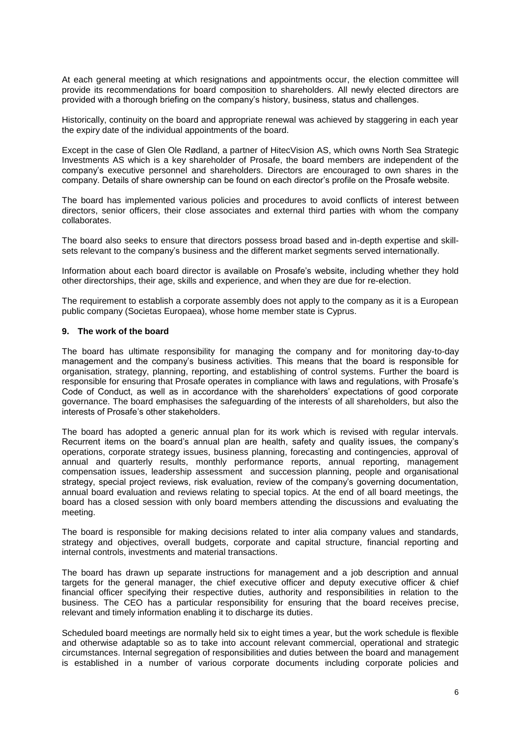At each general meeting at which resignations and appointments occur, the election committee will provide its recommendations for board composition to shareholders. All newly elected directors are provided with a thorough briefing on the company's history, business, status and challenges.

Historically, continuity on the board and appropriate renewal was achieved by staggering in each year the expiry date of the individual appointments of the board.

Except in the case of Glen Ole Rødland, a partner of HitecVision AS, which owns North Sea Strategic Investments AS which is a key shareholder of Prosafe, the board members are independent of the company's executive personnel and shareholders. Directors are encouraged to own shares in the company. Details of share ownership can be found on each director's profile on the Prosafe website.

The board has implemented various policies and procedures to avoid conflicts of interest between directors, senior officers, their close associates and external third parties with whom the company collaborates.

The board also seeks to ensure that directors possess broad based and in-depth expertise and skillsets relevant to the company's business and the different market segments served internationally.

Information about each board director is available on Prosafe's website, including whether they hold other directorships, their age, skills and experience, and when they are due for re-election.

The requirement to establish a corporate assembly does not apply to the company as it is a European public company (Societas Europaea), whose home member state is Cyprus.

#### **9. The work of the board**

The board has ultimate responsibility for managing the company and for monitoring day-to-day management and the company's business activities. This means that the board is responsible for organisation, strategy, planning, reporting, and establishing of control systems. Further the board is responsible for ensuring that Prosafe operates in compliance with laws and regulations, with Prosafe's Code of Conduct, as well as in accordance with the shareholders' expectations of good corporate governance. The board emphasises the safeguarding of the interests of all shareholders, but also the interests of Prosafe's other stakeholders.

The board has adopted a generic annual plan for its work which is revised with regular intervals. Recurrent items on the board's annual plan are health, safety and quality issues, the company's operations, corporate strategy issues, business planning, forecasting and contingencies, approval of annual and quarterly results, monthly performance reports, annual reporting, management compensation issues, leadership assessment and succession planning, people and organisational strategy, special project reviews, risk evaluation, review of the company's governing documentation, annual board evaluation and reviews relating to special topics. At the end of all board meetings, the board has a closed session with only board members attending the discussions and evaluating the meeting.

The board is responsible for making decisions related to inter alia company values and standards, strategy and objectives, overall budgets, corporate and capital structure, financial reporting and internal controls, investments and material transactions.

The board has drawn up separate instructions for management and a job description and annual targets for the general manager, the chief executive officer and deputy executive officer & chief financial officer specifying their respective duties, authority and responsibilities in relation to the business. The CEO has a particular responsibility for ensuring that the board receives precise, relevant and timely information enabling it to discharge its duties.

Scheduled board meetings are normally held six to eight times a year, but the work schedule is flexible and otherwise adaptable so as to take into account relevant commercial, operational and strategic circumstances. Internal segregation of responsibilities and duties between the board and management is established in a number of various corporate documents including corporate policies and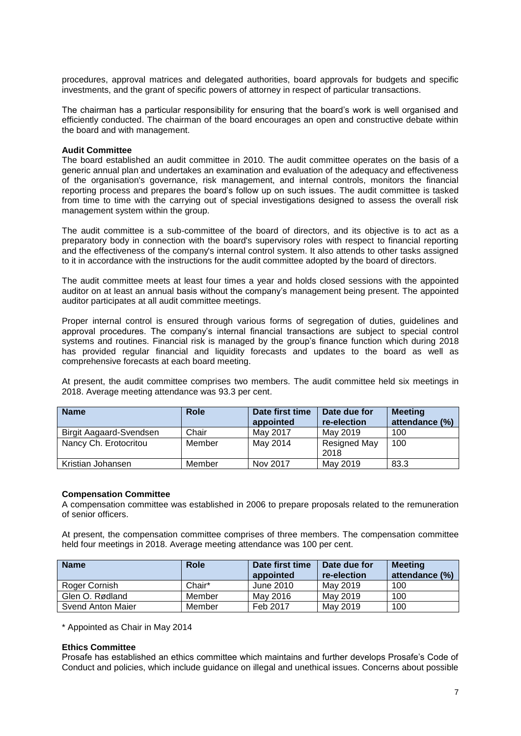procedures, approval matrices and delegated authorities, board approvals for budgets and specific investments, and the grant of specific powers of attorney in respect of particular transactions.

The chairman has a particular responsibility for ensuring that the board's work is well organised and efficiently conducted. The chairman of the board encourages an open and constructive debate within the board and with management.

#### **Audit Committee**

The board established an audit committee in 2010. The audit committee operates on the basis of a generic annual plan and undertakes an examination and evaluation of the adequacy and effectiveness of the organisation's governance, risk management, and internal controls, monitors the financial reporting process and prepares the board's follow up on such issues. The audit committee is tasked from time to time with the carrying out of special investigations designed to assess the overall risk management system within the group.

The audit committee is a sub-committee of the board of directors, and its objective is to act as a preparatory body in connection with the board's supervisory roles with respect to financial reporting and the effectiveness of the company's internal control system. It also attends to other tasks assigned to it in accordance with the instructions for the audit committee adopted by the board of directors.

The audit committee meets at least four times a year and holds closed sessions with the appointed auditor on at least an annual basis without the company's management being present. The appointed auditor participates at all audit committee meetings.

Proper internal control is ensured through various forms of segregation of duties, guidelines and approval procedures. The company's internal financial transactions are subject to special control systems and routines. Financial risk is managed by the group's finance function which during 2018 has provided regular financial and liquidity forecasts and updates to the board as well as comprehensive forecasts at each board meeting.

At present, the audit committee comprises two members. The audit committee held six meetings in 2018. Average meeting attendance was 93.3 per cent.

| <b>Name</b>             | Role   | Date first time<br>appointed | Date due for<br>re-election | <b>Meeting</b><br>attendance (%) |
|-------------------------|--------|------------------------------|-----------------------------|----------------------------------|
| Birgit Aagaard-Svendsen | Chair  | May 2017                     | May 2019                    | 100                              |
| Nancy Ch. Erotocritou   | Member | May 2014                     | Resigned May<br>2018        | 100                              |
| Kristian Johansen       | Member | Nov 2017                     | May 2019                    | 83.3                             |

#### **Compensation Committee**

A compensation committee was established in 2006 to prepare proposals related to the remuneration of senior officers.

At present, the compensation committee comprises of three members. The compensation committee held four meetings in 2018. Average meeting attendance was 100 per cent.

| <b>Name</b>       | Role   | Date first time<br>appointed | Date due for<br>re-election | <b>Meeting</b><br>attendance (%) |
|-------------------|--------|------------------------------|-----------------------------|----------------------------------|
| Roger Cornish     | Chair* | June 2010                    | May 2019                    | 100                              |
| Glen O. Rødland   | Member | May 2016                     | May 2019                    | 100                              |
| Svend Anton Maier | Member | Feb 2017                     | May 2019                    | 100                              |

\* Appointed as Chair in May 2014

#### **Ethics Committee**

Prosafe has established an ethics committee which maintains and further develops Prosafe's Code of Conduct and policies, which include guidance on illegal and unethical issues. Concerns about possible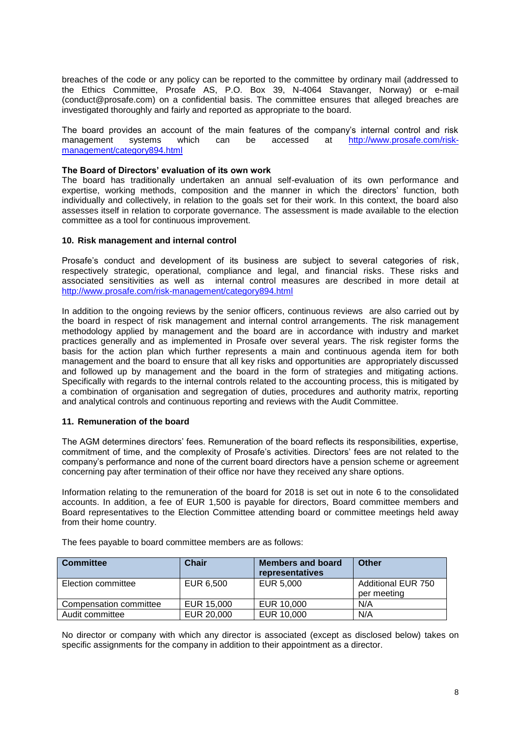breaches of the code or any policy can be reported to the committee by ordinary mail (addressed to the Ethics Committee, Prosafe AS, P.O. Box 39, N-4064 Stavanger, Norway) or e-mail (conduct@prosafe.com) on a confidential basis. The committee ensures that alleged breaches are investigated thoroughly and fairly and reported as appropriate to the board.

The board provides an account of the main features of the company's internal control and risk management systems which can be accessed at [http://www.prosafe.com/risk](http://www.prosafe.com/risk-management/category894.html)[management/category894.html](http://www.prosafe.com/risk-management/category894.html)

### **The Board of Directors' evaluation of its own work**

The board has traditionally undertaken an annual self-evaluation of its own performance and expertise, working methods, composition and the manner in which the directors' function, both individually and collectively, in relation to the goals set for their work. In this context, the board also assesses itself in relation to corporate governance. The assessment is made available to the election committee as a tool for continuous improvement.

#### **10. Risk management and internal control**

Prosafe's conduct and development of its business are subject to several categories of risk, respectively strategic, operational, compliance and legal, and financial risks. These risks and associated sensitivities as well as internal control measures are described in more detail at <http://www.prosafe.com/risk-management/category894.html>

In addition to the ongoing reviews by the senior officers, continuous reviews are also carried out by the board in respect of risk management and internal control arrangements. The risk management methodology applied by management and the board are in accordance with industry and market practices generally and as implemented in Prosafe over several years. The risk register forms the basis for the action plan which further represents a main and continuous agenda item for both management and the board to ensure that all key risks and opportunities are appropriately discussed and followed up by management and the board in the form of strategies and mitigating actions. Specifically with regards to the internal controls related to the accounting process, this is mitigated by a combination of organisation and segregation of duties, procedures and authority matrix, reporting and analytical controls and continuous reporting and reviews with the Audit Committee.

#### **11. Remuneration of the board**

The AGM determines directors' fees. Remuneration of the board reflects its responsibilities, expertise, commitment of time, and the complexity of Prosafe's activities. Directors' fees are not related to the company's performance and none of the current board directors have a pension scheme or agreement concerning pay after termination of their office nor have they received any share options.

Information relating to the remuneration of the board for 2018 is set out in note 6 to the consolidated accounts. In addition, a fee of EUR 1,500 is payable for directors, Board committee members and Board representatives to the Election Committee attending board or committee meetings held away from their home country.

| <b>Committee</b>       | <b>Chair</b> | <b>Members and board</b><br>representatives | Other                             |
|------------------------|--------------|---------------------------------------------|-----------------------------------|
| Election committee     | EUR 6.500    | EUR 5,000                                   | Additional EUR 750<br>per meeting |
| Compensation committee | EUR 15,000   | EUR 10,000                                  | N/A                               |
| Audit committee        | EUR 20,000   | EUR 10,000                                  | N/A                               |

The fees payable to board committee members are as follows:

No director or company with which any director is associated (except as disclosed below) takes on specific assignments for the company in addition to their appointment as a director.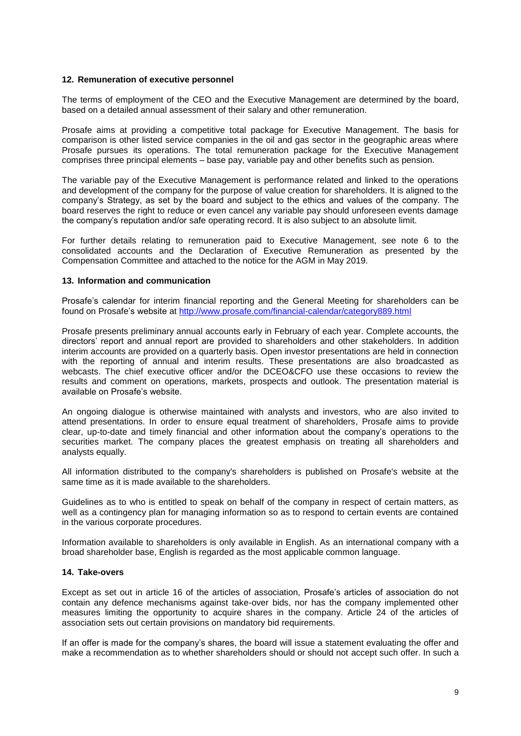### **12. Remuneration of executive personnel**

The terms of employment of the CEO and the Executive Management are determined by the board, based on a detailed annual assessment of their salary and other remuneration.

Prosafe aims at providing a competitive total package for Executive Management. The basis for comparison is other listed service companies in the oil and gas sector in the geographic areas where Prosafe pursues its operations. The total remuneration package for the Executive Management comprises three principal elements – base pay, variable pay and other benefits such as pension.

The variable pay of the Executive Management is performance related and linked to the operations and development of the company for the purpose of value creation for shareholders. It is aligned to the company's Strategy, as set by the board and subject to the ethics and values of the company. The board reserves the right to reduce or even cancel any variable pay should unforeseen events damage the company's reputation and/or safe operating record. It is also subject to an absolute limit.

For further details relating to remuneration paid to Executive Management, see note 6 to the consolidated accounts and the Declaration of Executive Remuneration as presented by the Compensation Committee and attached to the notice for the AGM in May 2019.

#### **13. Information and communication**

Prosafe's calendar for interim financial reporting and the General Meeting for shareholders can be found on Prosafe's website at <http://www.prosafe.com/financial-calendar/category889.html>

Prosafe presents preliminary annual accounts early in February of each year. Complete accounts, the directors' report and annual report are provided to shareholders and other stakeholders. In addition interim accounts are provided on a quarterly basis. Open investor presentations are held in connection with the reporting of annual and interim results. These presentations are also broadcasted as webcasts. The chief executive officer and/or the DCEO&CFO use these occasions to review the results and comment on operations, markets, prospects and outlook. The presentation material is available on Prosafe's website.

An ongoing dialogue is otherwise maintained with analysts and investors, who are also invited to attend presentations. In order to ensure equal treatment of shareholders, Prosafe aims to provide clear, up-to-date and timely financial and other information about the company's operations to the securities market. The company places the greatest emphasis on treating all shareholders and analysts equally.

All information distributed to the company's shareholders is published on Prosafe's website at the same time as it is made available to the shareholders.

Guidelines as to who is entitled to speak on behalf of the company in respect of certain matters, as well as a contingency plan for managing information so as to respond to certain events are contained in the various corporate procedures.

Information available to shareholders is only available in English. As an international company with a broad shareholder base, English is regarded as the most applicable common language.

## **14. Take-overs**

Except as set out in article 16 of the articles of association, Prosafe's articles of association do not contain any defence mechanisms against take-over bids, nor has the company implemented other measures limiting the opportunity to acquire shares in the company. Article 24 of the articles of association sets out certain provisions on mandatory bid requirements.

If an offer is made for the company's shares, the board will issue a statement evaluating the offer and make a recommendation as to whether shareholders should or should not accept such offer. In such a